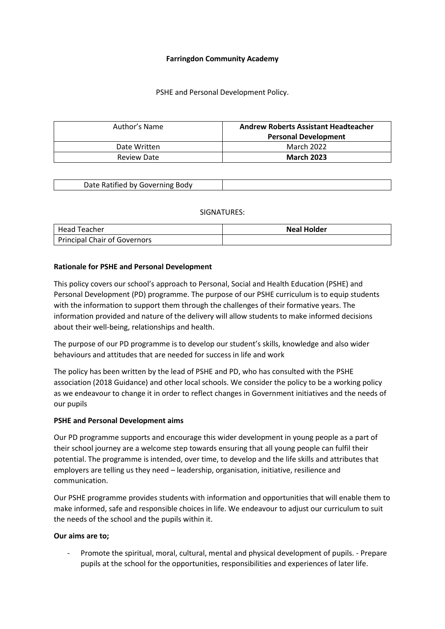#### **Farringdon Community Academy**

#### PSHE and Personal Development Policy.

| Author's Name | <b>Andrew Roberts Assistant Headteacher</b><br><b>Personal Development</b> |  |  |  |  |  |  |
|---------------|----------------------------------------------------------------------------|--|--|--|--|--|--|
| Date Written  | <b>March 2022</b>                                                          |  |  |  |  |  |  |
| Review Date   | <b>March 2023</b>                                                          |  |  |  |  |  |  |

#### SIGNATURES:

| Head Teacher                        | <b>Neal Holder</b> |
|-------------------------------------|--------------------|
| <b>Principal Chair of Governors</b> |                    |

#### **Rationale for PSHE and Personal Development**

This policy covers our school's approach to Personal, Social and Health Education (PSHE) and Personal Development (PD) programme. The purpose of our PSHE curriculum is to equip students with the information to support them through the challenges of their formative years. The information provided and nature of the delivery will allow students to make informed decisions about their well-being, relationships and health.

The purpose of our PD programme is to develop our student's skills, knowledge and also wider behaviours and attitudes that are needed for success in life and work

The policy has been written by the lead of PSHE and PD, who has consulted with the PSHE association (2018 Guidance) and other local schools. We consider the policy to be a working policy as we endeavour to change it in order to reflect changes in Government initiatives and the needs of our pupils

#### **PSHE and Personal Development aims**

Our PD programme supports and encourage this wider development in young people as a part of their school journey are a welcome step towards ensuring that all young people can fulfil their potential. The programme is intended, over time, to develop and the life skills and attributes that employers are telling us they need – leadership, organisation, initiative, resilience and communication.

Our PSHE programme provides students with information and opportunities that will enable them to make informed, safe and responsible choices in life. We endeavour to adjust our curriculum to suit the needs of the school and the pupils within it.

#### **Our aims are to;**

- Promote the spiritual, moral, cultural, mental and physical development of pupils. - Prepare pupils at the school for the opportunities, responsibilities and experiences of later life.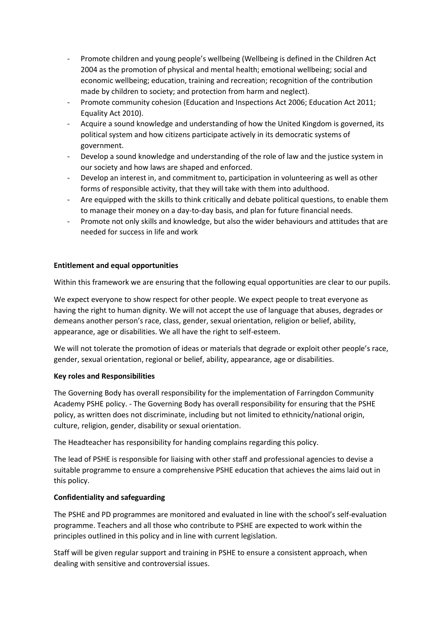- Promote children and young people's wellbeing (Wellbeing is defined in the Children Act 2004 as the promotion of physical and mental health; emotional wellbeing; social and economic wellbeing; education, training and recreation; recognition of the contribution made by children to society; and protection from harm and neglect).
- Promote community cohesion (Education and Inspections Act 2006; Education Act 2011; Equality Act 2010).
- Acquire a sound knowledge and understanding of how the United Kingdom is governed, its political system and how citizens participate actively in its democratic systems of government.
- Develop a sound knowledge and understanding of the role of law and the justice system in our society and how laws are shaped and enforced.
- Develop an interest in, and commitment to, participation in volunteering as well as other forms of responsible activity, that they will take with them into adulthood.
- Are equipped with the skills to think critically and debate political questions, to enable them to manage their money on a day-to-day basis, and plan for future financial needs.
- Promote not only skills and knowledge, but also the wider behaviours and attitudes that are needed for success in life and work

## **Entitlement and equal opportunities**

Within this framework we are ensuring that the following equal opportunities are clear to our pupils.

We expect everyone to show respect for other people. We expect people to treat everyone as having the right to human dignity. We will not accept the use of language that abuses, degrades or demeans another person's race, class, gender, sexual orientation, religion or belief, ability, appearance, age or disabilities. We all have the right to self-esteem.

We will not tolerate the promotion of ideas or materials that degrade or exploit other people's race, gender, sexual orientation, regional or belief, ability, appearance, age or disabilities.

#### **Key roles and Responsibilities**

The Governing Body has overall responsibility for the implementation of Farringdon Community Academy PSHE policy. - The Governing Body has overall responsibility for ensuring that the PSHE policy, as written does not discriminate, including but not limited to ethnicity/national origin, culture, religion, gender, disability or sexual orientation.

The Headteacher has responsibility for handing complains regarding this policy.

The lead of PSHE is responsible for liaising with other staff and professional agencies to devise a suitable programme to ensure a comprehensive PSHE education that achieves the aims laid out in this policy.

#### **Confidentiality and safeguarding**

The PSHE and PD programmes are monitored and evaluated in line with the school's self-evaluation programme. Teachers and all those who contribute to PSHE are expected to work within the principles outlined in this policy and in line with current legislation.

Staff will be given regular support and training in PSHE to ensure a consistent approach, when dealing with sensitive and controversial issues.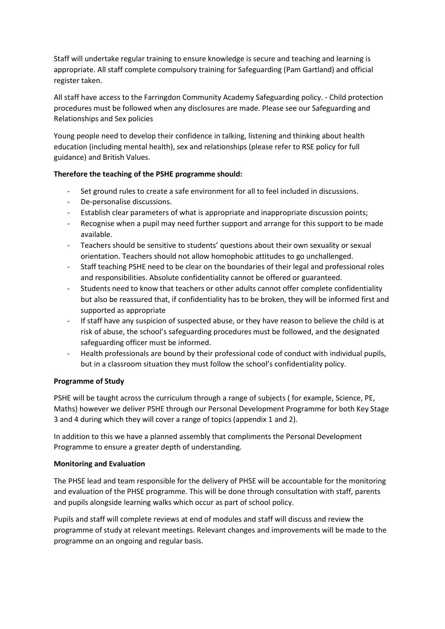Staff will undertake regular training to ensure knowledge is secure and teaching and learning is appropriate. All staff complete compulsory training for Safeguarding (Pam Gartland) and official register taken.

All staff have access to the Farringdon Community Academy Safeguarding policy. - Child protection procedures must be followed when any disclosures are made. Please see our Safeguarding and Relationships and Sex policies

Young people need to develop their confidence in talking, listening and thinking about health education (including mental health), sex and relationships (please refer to RSE policy for full guidance) and British Values.

## **Therefore the teaching of the PSHE programme should:**

- Set ground rules to create a safe environment for all to feel included in discussions.
- De-personalise discussions.
- Establish clear parameters of what is appropriate and inappropriate discussion points;
- Recognise when a pupil may need further support and arrange for this support to be made available.
- Teachers should be sensitive to students' questions about their own sexuality or sexual orientation. Teachers should not allow homophobic attitudes to go unchallenged.
- Staff teaching PSHE need to be clear on the boundaries of their legal and professional roles and responsibilities. Absolute confidentiality cannot be offered or guaranteed.
- Students need to know that teachers or other adults cannot offer complete confidentiality but also be reassured that, if confidentiality has to be broken, they will be informed first and supported as appropriate
- If staff have any suspicion of suspected abuse, or they have reason to believe the child is at risk of abuse, the school's safeguarding procedures must be followed, and the designated safeguarding officer must be informed.
- Health professionals are bound by their professional code of conduct with individual pupils, but in a classroom situation they must follow the school's confidentiality policy.

#### **Programme of Study**

PSHE will be taught across the curriculum through a range of subjects ( for example, Science, PE, Maths) however we deliver PSHE through our Personal Development Programme for both Key Stage 3 and 4 during which they will cover a range of topics (appendix 1 and 2).

In addition to this we have a planned assembly that compliments the Personal Development Programme to ensure a greater depth of understanding.

#### **Monitoring and Evaluation**

The PHSE lead and team responsible for the delivery of PHSE will be accountable for the monitoring and evaluation of the PHSE programme. This will be done through consultation with staff, parents and pupils alongside learning walks which occur as part of school policy.

Pupils and staff will complete reviews at end of modules and staff will discuss and review the programme of study at relevant meetings. Relevant changes and improvements will be made to the programme on an ongoing and regular basis.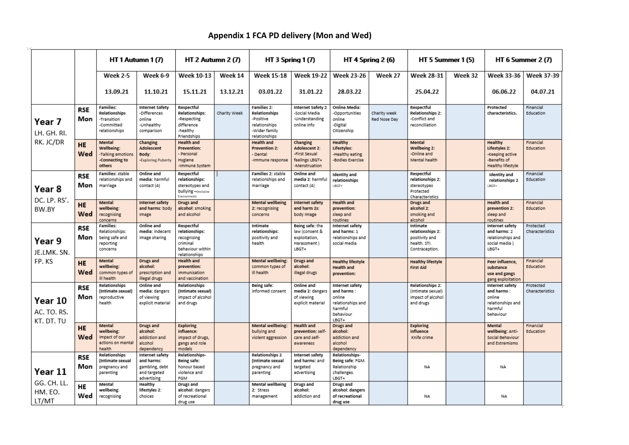# **Appendix 1 FCA PD delivery (Mon and Wed)**

|                                      |                   | HT 1 Autumn 1 (7)                                                        |                                                                                | HT 2 Autumn 2 (7)                                                                            |              | <b>HT 3 Spring 1 (7)</b>                                                                            |                                                                               | HT 4 Spring 2 (6)                                                                             |                              | HT 5 Summer 1 (5)                                                                |         | HT 6 Summer 2 (7)                                                                    |                              |
|--------------------------------------|-------------------|--------------------------------------------------------------------------|--------------------------------------------------------------------------------|----------------------------------------------------------------------------------------------|--------------|-----------------------------------------------------------------------------------------------------|-------------------------------------------------------------------------------|-----------------------------------------------------------------------------------------------|------------------------------|----------------------------------------------------------------------------------|---------|--------------------------------------------------------------------------------------|------------------------------|
|                                      |                   | <b>Week 2-5</b>                                                          | Week 6-9                                                                       | <b>Week 10-13</b>                                                                            | Week 14      | <b>Week 15-18</b>                                                                                   | <b>Week 19-22</b>                                                             | <b>Week 23-26</b>                                                                             | Week 27                      | <b>Week 28-31</b>                                                                | Week 32 | <b>Week 33-36</b>                                                                    | <b>Week 37-39</b>            |
|                                      |                   | 13.09.21                                                                 | 11.10.21                                                                       | 15.11.21                                                                                     | 13.12.21     | 03.01.22                                                                                            | 31.01.22                                                                      | 28.03.22                                                                                      |                              | 25.04.22                                                                         |         | 06.06.22                                                                             | 04.07.21                     |
| Year 7<br>LH. GH. RI.<br>RK. JC/DR   | RSE<br>Mon        | Families:<br>Relationships<br>-Transition<br>-Committed<br>relationships | <b>Internet Safety</b><br>-Differences<br>online<br>-Unhealthy<br>comparison   | Respectful<br><b>Relationships:</b><br>-Respecting<br>difference<br>-healthy<br>Friendships  | Charity Week | <b>Families 2:</b><br>Relationships<br>-Positive<br>relationships<br>-Wider family<br>relationships | <b>Internet Safety 2</b><br>-Social Media<br>-Understanding<br>online info    | <b>Online Media:</b><br>-Opportunities<br>online<br>-Digital<br>Citizenship                   | Charity week<br>Red Nose Day | Respectful<br><b>Relationships 2:</b><br>-Conflict and<br>reconciliation         |         | Protected<br>characteristics.                                                        | Financial<br>Education       |
|                                      | <b>HE</b><br>Wed  | Mental<br>Wellbeing:<br>-Talking emotions<br>-Connecting to<br>others    | Changing<br>Adolescent<br>Body:<br>-Exploring Puberty                          | <b>Health and</b><br><b>Prevention:</b><br>- Personal<br>Hygiene<br>-Immune System           |              | <b>Health and</b><br><b>Prevention 2:</b><br>- Dental<br>-Immune response                           | Changing<br>Adolescent 2:<br>-First Sexual<br>feelings LBGT+<br>-Menstruation | Healthy<br>Lifestyles:<br>-Healthy eating<br>-Bodies Exercise                                 |                              | Mental<br>Wellbeing 2:<br>-Online and<br>Mental health                           |         | Healthy<br>Lifestyles 2:<br>-Keeping active<br>-Benefits of<br>Healthy lifestyle     | Financial<br>Education       |
| Year 8<br>DC. LP. RS'<br>BW.BY       | RSE<br>Mon        | Families: stable<br>relationships and<br>marriage                        | Online and<br>media: harmful<br>contact (4)                                    | Respectful<br>relationships:<br>stereotypes and<br>bullying -(Inclusive<br>Environment)      |              | Families 2: stable<br>relationships and<br>marriage                                                 | Online and<br>media 2: harmful<br>contact (4)                                 | Identity and<br>relationships<br>LBGT+                                                        |                              | Respectful<br>relationships 2:<br>stereotypes<br>Protected<br>Characteristics    |         | <b>Identity</b> and<br>relationships 2<br>LBGT+                                      | Financial<br>Education       |
|                                      | <b>HE</b><br>Wed  | Mental<br>wellbeing:<br>recognising<br>concerns                          | Internet safety<br>and harms: body<br>Image                                    | Drugs and<br>alcohol: smoking<br>and alcohol                                                 |              | Mental wellbeing<br>2: recognising<br>concerns                                                      | Internet safety<br>and harm 2s:<br>body Image                                 | <b>Health and</b><br>prevention:<br>sleep and<br>routines                                     |                              | Drugs and<br>alcohol 2:<br>smoking and<br>alcohol                                |         | <b>Health and</b><br>prevention 2:<br>sleep and<br>routines                          | Financial<br>Education       |
| Year 9<br>JE.LMK. SN.<br>FP.KS       | RSE<br>Mon        | Families:<br>Relationships:<br>being safe and<br>reporting<br>concerns   | Online and<br>media: indecent<br>image sharing                                 | Respectful<br>relationships:<br>recognising<br>criminal<br>behaviour within<br>relationships |              | Intimate<br>relationships:<br>positivity and<br>health                                              | Being safe: the<br>law (consent &<br>exploitation,<br>Harassment)<br>LBGT+    | Internet safety<br>and harms: 1<br>relationships and<br>social media                          |                              | Intimate<br>relationships 2:<br>positivity and<br>health, STI.<br>Contraception. |         | Internet safety<br>and harms: 2<br>relationships and<br>social media)<br>LBGT+       | Protected<br>Characteristics |
|                                      | <b>HE</b><br>Wed  | Mental<br>wellbeing:<br>common types of<br>ill health                    | Drugs and<br>alcohol:<br>prescription and<br>illegal drugs                     | <b>Health and</b><br>prevention:<br>immunisation<br>and vaccination                          |              | Mental wellbeing:<br>common types of<br>ill health                                                  | Drugs and<br>alcohol:<br>illegal drugs                                        | <b>Healthy lifestyle</b><br><b>Health and</b><br>prevention:                                  |                              | <b>Healthy lifestyle</b><br><b>First Aid</b>                                     |         | Peer influence,<br>substance<br>use and gangs<br>gang exploitation                   | Financial<br>Education       |
| Year 10<br>AC. TO. RS.<br>KT. DT. TU | RSE<br>Mon        | Relationships<br>(Intimate sexual)<br>reproductive<br>health             | Online and<br>media: dangers<br>of viewing<br>explicit material                | Relationships<br>(Intimate sexual)<br>impact of alcohol<br>and drugs                         |              | Being safe:<br>informed consent                                                                     | Online and<br>media 2: danger:<br>of viewing<br>explicit material             | Internet safety<br>and harms:<br>online<br>relationships and<br>harmful<br>behaviour<br>LBGT+ |                              | <b>Relationships 2:</b><br>(Intimate sexual)<br>impact of alcohol<br>and drugs   |         | Internet safety<br>and harms:<br>online<br>relationships and<br>harmful<br>behaviour | Protected<br>Characteristics |
|                                      | <b>HE</b><br>Wed  | Mental<br>wellbeing:<br>impact of our<br>actions on mental<br>health     | Drugs and<br>alcohol:<br>addiction and<br>alcohol<br>dependency                | <b>Exploring</b><br>influence:<br>impact of drugs,<br>gangs and role<br>models               |              | <b>Mental wellbeing:</b><br>bullying and<br>violent aggression                                      | <b>Health and</b><br>prevention: self-<br>care and self-<br>awareness         | Drugs and<br>alcohol:<br>addiction and<br>alcohol<br>dependency                               |                              | Exploring<br>influence<br>Knife crime                                            |         | Mental<br>wellbeing: Anti-<br>Social Behaviour<br>and Extremisms                     | Financial<br>Education       |
| Year 11                              | <b>RSE</b><br>Mon | Relationships<br>(Intimate sexual<br>pregnancy and<br>parenting          | Internet safety<br>and harms:<br>gambling, debt<br>and targeted<br>advertising | Relationships-<br>Being safe:<br>honour based<br>violence and<br>FGM                         |              | <b>Relationships 2</b><br>(Intimate sexual<br>pregnancy and<br>parenting                            | Internet safety<br>and harms: and<br>targeted<br>advertising                  | Relationships-<br>Being safe: FGM.<br>Relationship<br>challenges.<br>LBGT+                    |                              | NA                                                                               |         | NA                                                                                   |                              |
| GG. CH. LL.<br>HM. EO.<br>LT/MT      | HE<br>Wed         | Mental<br>wellbeing:<br>recognising                                      | Healthy<br>lifestyles 2:<br>choices                                            | Drugs and<br>alcohol: dangers<br>of recreational<br>drug use                                 |              | <b>Mental wellbeing</b><br>2: Stress<br>management                                                  | Drugs and<br>alcohol:<br>addiction and                                        | Drugs and<br>alcohol: dangers<br>of recreational<br>drug use                                  |                              | NΑ                                                                               |         | NA                                                                                   |                              |